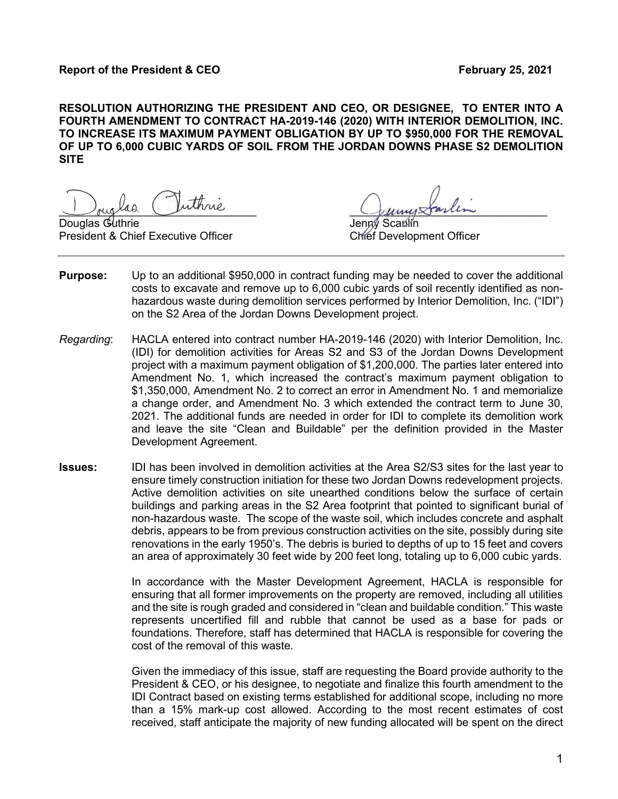**RESOLUTION AUTHORIZING THE PRESIDENT AND CEO, OR DESIGNEE, TO ENTER INTO A FOURTH AMENDMENT TO CONTRACT HA-2019-146 (2020) WITH INTERIOR DEMOLITION, INC. TO INCREASE ITS MAXIMUM PAYMENT OBLIGATION BY UP TO \$950,000 FOR THE REMOVAL OF UP TO 6,000 CUBIC YARDS OF SOIL FROM THE JORDAN DOWNS PHASE S2 DEMOLITION SITE**

buglad ruime puisse

Douglas G President & Chief Executive Officer Chief Development Officer

- **Purpose:** Up to an additional \$950,000 in contract funding may be needed to cover the additional costs to excavate and remove up to 6,000 cubic yards of soil recently identified as nonhazardous waste during demolition services performed by Interior Demolition, Inc. ("IDI") on the S2 Area of the Jordan Downs Development project.
- *Regarding*: HACLA entered into contract number HA-2019-146 (2020) with Interior Demolition, Inc. (IDI) for demolition activities for Areas S2 and S3 of the Jordan Downs Development project with a maximum payment obligation of \$1,200,000. The parties later entered into Amendment No. 1, which increased the contract's maximum payment obligation to \$1,350,000, Amendment No. 2 to correct an error in Amendment No. 1 and memorialize a change order, and Amendment No. 3 which extended the contract term to June 30, 2021. The additional funds are needed in order for IDI to complete its demolition work and leave the site "Clean and Buildable" per the definition provided in the Master Development Agreement.
- **Issues:** IDI has been involved in demolition activities at the Area S2/S3 sites for the last year to ensure timely construction initiation for these two Jordan Downs redevelopment projects. Active demolition activities on site unearthed conditions below the surface of certain buildings and parking areas in the S2 Area footprint that pointed to significant burial of non-hazardous waste. The scope of the waste soil, which includes concrete and asphalt debris, appears to be from previous construction activities on the site, possibly during site renovations in the early 1950's. The debris is buried to depths of up to 15 feet and covers an area of approximately 30 feet wide by 200 feet long, totaling up to 6,000 cubic yards.

In accordance with the Master Development Agreement, HACLA is responsible for ensuring that all former improvements on the property are removed, including all utilities and the site is rough graded and considered in "clean and buildable condition." This waste represents uncertified fill and rubble that cannot be used as a base for pads or foundations. Therefore, staff has determined that HACLA is responsible for covering the cost of the removal of this waste.

Given the immediacy of this issue, staff are requesting the Board provide authority to the President & CEO, or his designee, to negotiate and finalize this fourth amendment to the IDI Contract based on existing terms established for additional scope, including no more than a 15% mark-up cost allowed. According to the most recent estimates of cost received, staff anticipate the majority of new funding allocated will be spent on the direct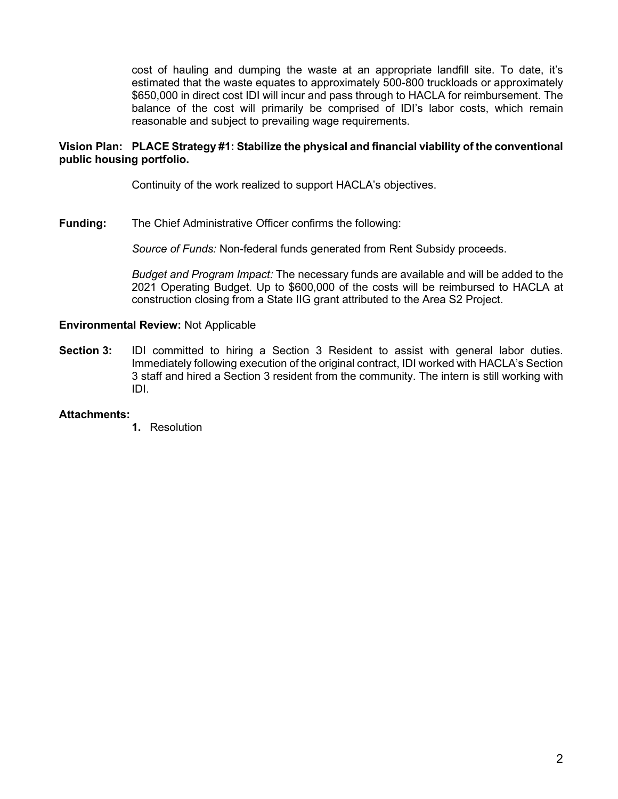cost of hauling and dumping the waste at an appropriate landfill site. To date, it's estimated that the waste equates to approximately 500-800 truckloads or approximately \$650,000 in direct cost IDI will incur and pass through to HACLA for reimbursement. The balance of the cost will primarily be comprised of IDI's labor costs, which remain reasonable and subject to prevailing wage requirements.

# **Vision Plan: PLACE Strategy #1: Stabilize the physical and financial viability of the conventional public housing portfolio.**

Continuity of the work realized to support HACLA's objectives.

**Funding:** The Chief Administrative Officer confirms the following:

*Source of Funds:* Non-federal funds generated from Rent Subsidy proceeds.

*Budget and Program Impact:* The necessary funds are available and will be added to the 2021 Operating Budget. Up to \$600,000 of the costs will be reimbursed to HACLA at construction closing from a State IIG grant attributed to the Area S2 Project.

### **Environmental Review:** Not Applicable

**Section 3:** IDI committed to hiring a Section 3 Resident to assist with general labor duties. Immediately following execution of the original contract, IDI worked with HACLA's Section 3 staff and hired a Section 3 resident from the community. The intern is still working with IDI.

### **Attachments:**

**1.** Resolution